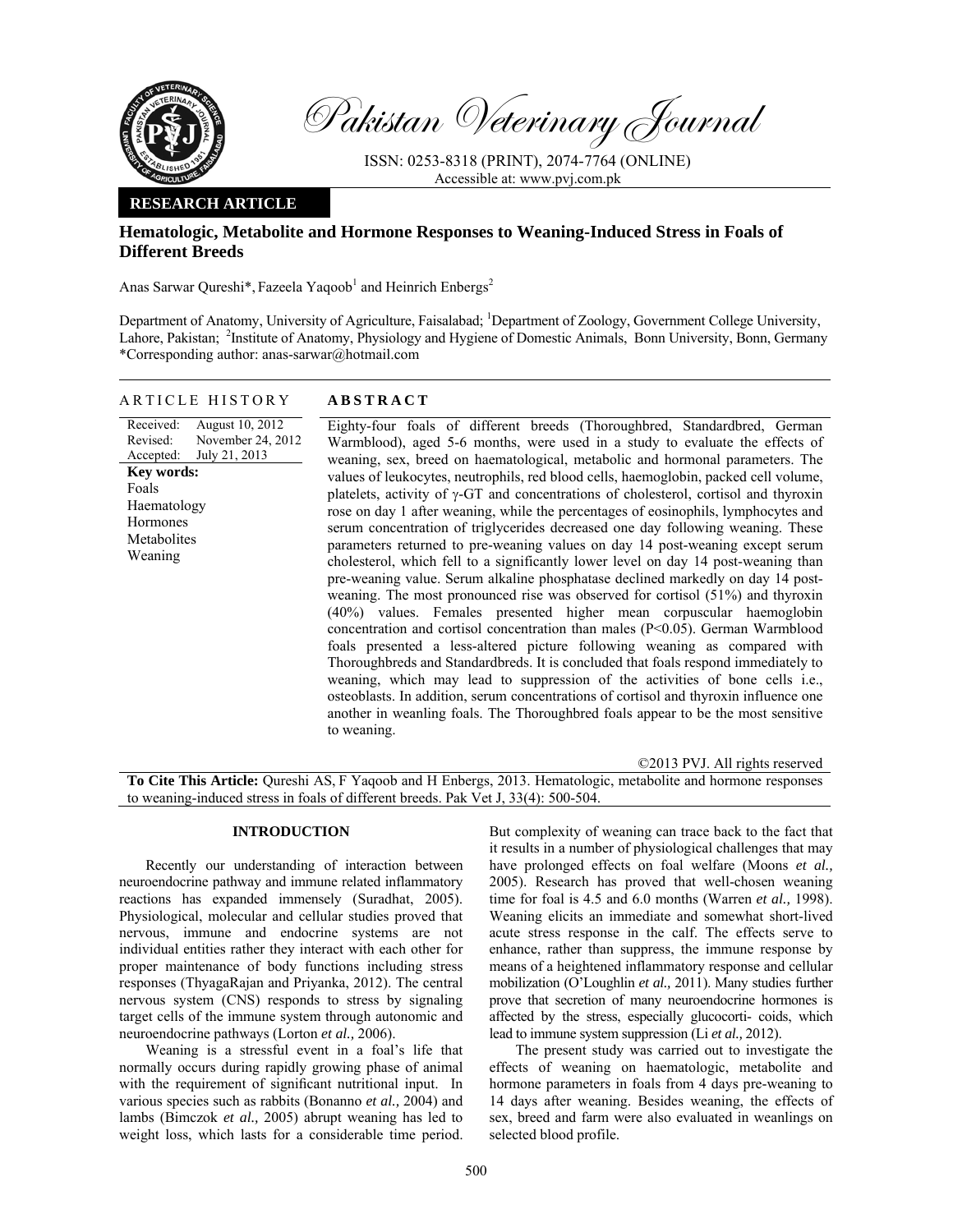

Pakistan Veterinary Journal

ISSN: 0253-8318 (PRINT), 2074-7764 (ONLINE) Accessible at: www.pvj.com.pk

# **RESEARCH ARTICLE**

# **Hematologic, Metabolite and Hormone Responses to Weaning-Induced Stress in Foals of Different Breeds**

Anas Sarwar Qureshi\*, Fazeela Yaqoob<sup>1</sup> and Heinrich Enbergs<sup>2</sup>

Department of Anatomy, University of Agriculture, Faisalabad; <sup>1</sup>Department of Zoology, Government College University, Lahore, Pakistan; <sup>2</sup>Institute of Anatomy, Physiology and Hygiene of Domestic Animals, Bonn University, Bonn, Germany \*Corresponding author: anas-sarwar@hotmail.com

### ARTICLE HISTORY **ABSTRACT**

Received: Revised: Accepted: August 10, 2012 November 24, 2012 July 21, 2013 **Key words:**  Foals Haematology **Hormones** Metabolites Weaning

 Eighty-four foals of different breeds (Thoroughbred, Standardbred, German Warmblood), aged 5-6 months, were used in a study to evaluate the effects of weaning, sex, breed on haematological, metabolic and hormonal parameters. The values of leukocytes, neutrophils, red blood cells, haemoglobin, packed cell volume, platelets, activity of γ-GT and concentrations of cholesterol, cortisol and thyroxin rose on day 1 after weaning, while the percentages of eosinophils, lymphocytes and serum concentration of triglycerides decreased one day following weaning. These parameters returned to pre-weaning values on day 14 post-weaning except serum cholesterol, which fell to a significantly lower level on day 14 post-weaning than pre-weaning value. Serum alkaline phosphatase declined markedly on day 14 postweaning. The most pronounced rise was observed for cortisol (51%) and thyroxin (40%) values. Females presented higher mean corpuscular haemoglobin concentration and cortisol concentration than males (P<0.05). German Warmblood foals presented a less-altered picture following weaning as compared with Thoroughbreds and Standardbreds. It is concluded that foals respond immediately to weaning, which may lead to suppression of the activities of bone cells i.e., osteoblasts. In addition, serum concentrations of cortisol and thyroxin influence one another in weanling foals. The Thoroughbred foals appear to be the most sensitive to weaning.

©2013 PVJ. All rights reserved **To Cite This Article:** Qureshi AS, F Yaqoob and H Enbergs, 2013. Hematologic, metabolite and hormone responses to weaning-induced stress in foals of different breeds. Pak Vet J, 33(4): 500-504.

# **INTRODUCTION**

Recently our understanding of interaction between neuroendocrine pathway and immune related inflammatory reactions has expanded immensely (Suradhat, 2005). Physiological, molecular and cellular studies proved that nervous, immune and endocrine systems are not individual entities rather they interact with each other for proper maintenance of body functions including stress responses (ThyagaRajan and Priyanka, 2012). The central nervous system (CNS) responds to stress by signaling target cells of the immune system through autonomic and neuroendocrine pathways (Lorton *et al.,* 2006).

Weaning is a stressful event in a foal's life that normally occurs during rapidly growing phase of animal with the requirement of significant nutritional input. In various species such as rabbits (Bonanno *et al.,* 2004) and lambs (Bimczok *et al.,* 2005) abrupt weaning has led to weight loss, which lasts for a considerable time period.

But complexity of weaning can trace back to the fact that it results in a number of physiological challenges that may have prolonged effects on foal welfare (Moons *et al.,*  2005). Research has proved that well-chosen weaning time for foal is 4.5 and 6.0 months (Warren *et al.,* 1998). Weaning elicits an immediate and somewhat short-lived acute stress response in the calf. The effects serve to enhance, rather than suppress, the immune response by means of a heightened inflammatory response and cellular mobilization (O'Loughlin *et al.,* 2011). Many studies further prove that secretion of many neuroendocrine hormones is affected by the stress, especially glucocorti- coids, which lead to immune system suppression (Li *et al.,* 2012).

The present study was carried out to investigate the effects of weaning on haematologic, metabolite and hormone parameters in foals from 4 days pre-weaning to 14 days after weaning. Besides weaning, the effects of sex, breed and farm were also evaluated in weanlings on selected blood profile.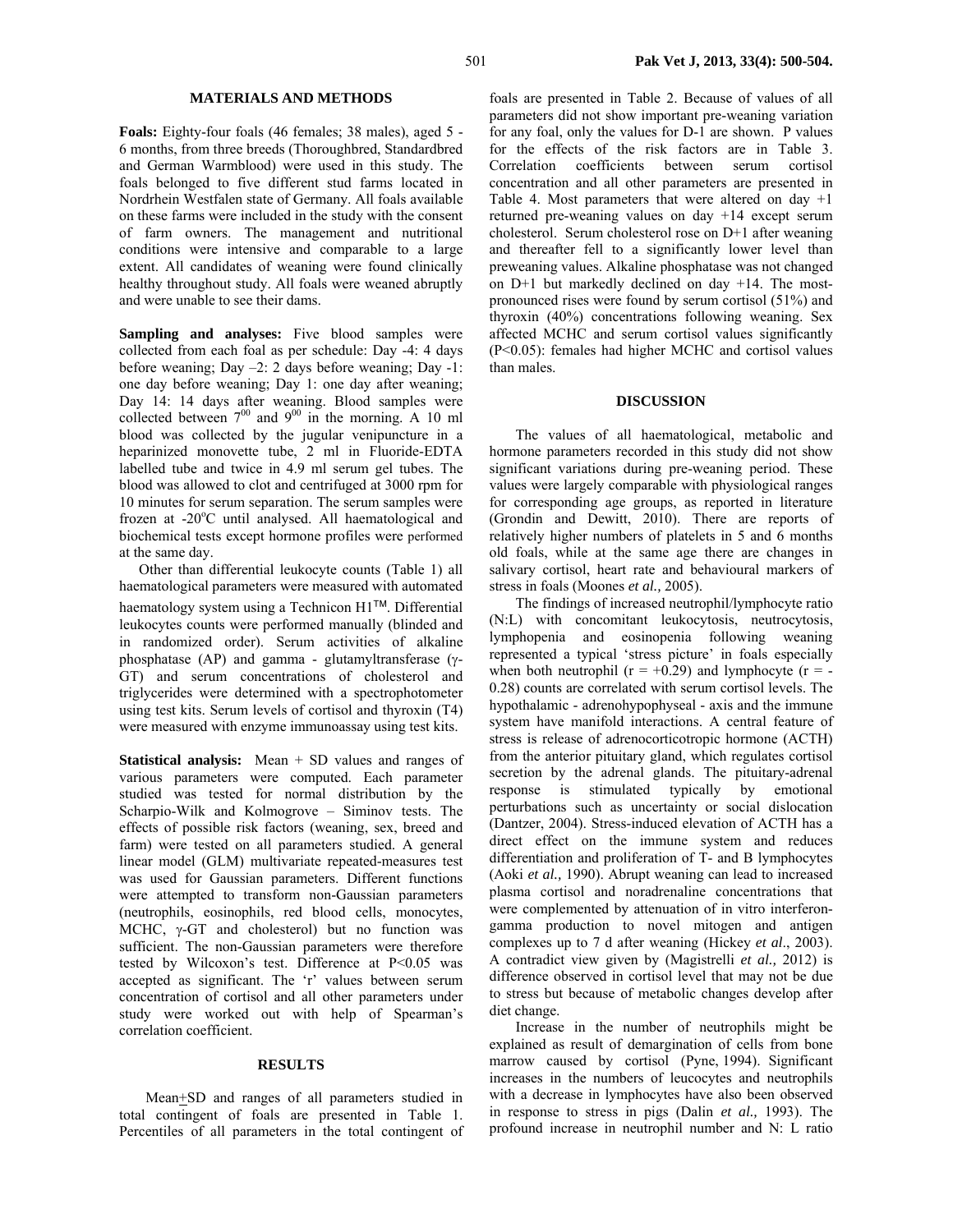### **MATERIALS AND METHODS**

**Foals:** Eighty-four foals (46 females; 38 males), aged 5 - 6 months, from three breeds (Thoroughbred, Standardbred and German Warmblood) were used in this study. The foals belonged to five different stud farms located in Nordrhein Westfalen state of Germany. All foals available on these farms were included in the study with the consent of farm owners. The management and nutritional conditions were intensive and comparable to a large extent. All candidates of weaning were found clinically healthy throughout study. All foals were weaned abruptly and were unable to see their dams.

Sampling and analyses: Five blood samples were collected from each foal as per schedule: Day -4: 4 days before weaning; Day –2: 2 days before weaning; Day -1: one day before weaning; Day 1: one day after weaning; Day 14: 14 days after weaning. Blood samples were collected between  $7^{00}$  and  $9^{00}$  in the morning. A 10 ml blood was collected by the jugular venipuncture in a heparinized monovette tube, 2 ml in Fluoride-EDTA labelled tube and twice in 4.9 ml serum gel tubes. The blood was allowed to clot and centrifuged at 3000 rpm for 10 minutes for serum separation. The serum samples were frozen at -20°C until analysed. All haematological and biochemical tests except hormone profiles were performed at the same day.

Other than differential leukocyte counts (Table 1) all haematological parameters were measured with automated haematology system using a Technicon H1™. Differential leukocytes counts were performed manually (blinded and in randomized order). Serum activities of alkaline phosphatase (AP) and gamma - glutamyltransferase (γ-GT) and serum concentrations of cholesterol and triglycerides were determined with a spectrophotometer using test kits. Serum levels of cortisol and thyroxin (T4) were measured with enzyme immunoassay using test kits.

**Statistical analysis:** Mean + SD values and ranges of various parameters were computed. Each parameter studied was tested for normal distribution by the Scharpio-Wilk and Kolmogrove – Siminov tests. The effects of possible risk factors (weaning, sex, breed and farm) were tested on all parameters studied. A general linear model (GLM) multivariate repeated-measures test was used for Gaussian parameters. Different functions were attempted to transform non-Gaussian parameters (neutrophils, eosinophils, red blood cells, monocytes, MCHC, γ-GT and cholesterol) but no function was sufficient. The non-Gaussian parameters were therefore tested by Wilcoxon's test. Difference at P<0.05 was accepted as significant. The 'r' values between serum concentration of cortisol and all other parameters under study were worked out with help of Spearman's correlation coefficient.

#### **RESULTS**

Mean+SD and ranges of all parameters studied in total contingent of foals are presented in Table 1. Percentiles of all parameters in the total contingent of foals are presented in Table 2. Because of values of all parameters did not show important pre-weaning variation for any foal, only the values for D-1 are shown. P values for the effects of the risk factors are in Table 3. Correlation coefficients between serum cortisol concentration and all other parameters are presented in Table 4. Most parameters that were altered on day  $+1$ returned pre-weaning values on day +14 except serum cholesterol. Serum cholesterol rose on D+1 after weaning and thereafter fell to a significantly lower level than preweaning values. Alkaline phosphatase was not changed on D+1 but markedly declined on day +14. The mostpronounced rises were found by serum cortisol (51%) and thyroxin (40%) concentrations following weaning. Sex affected MCHC and serum cortisol values significantly (P<0.05): females had higher MCHC and cortisol values than males.

#### **DISCUSSION**

The values of all haematological, metabolic and hormone parameters recorded in this study did not show significant variations during pre-weaning period. These values were largely comparable with physiological ranges for corresponding age groups, as reported in literature (Grondin and Dewitt, 2010). There are reports of relatively higher numbers of platelets in 5 and 6 months old foals, while at the same age there are changes in salivary cortisol, heart rate and behavioural markers of stress in foals (Moones *et al.,* 2005).

The findings of increased neutrophil/lymphocyte ratio (N:L) with concomitant leukocytosis, neutrocytosis, lymphopenia and eosinopenia following weaning represented a typical 'stress picture' in foals especially when both neutrophil ( $r = +0.29$ ) and lymphocyte ( $r = -$ 0.28) counts are correlated with serum cortisol levels. The hypothalamic - adrenohypophyseal - axis and the immune system have manifold interactions. A central feature of stress is release of adrenocorticotropic hormone (ACTH) from the anterior pituitary gland, which regulates cortisol secretion by the adrenal glands. The pituitary-adrenal response is stimulated typically by emotional perturbations such as uncertainty or social dislocation (Dantzer, 2004). Stress-induced elevation of ACTH has a direct effect on the immune system and reduces differentiation and proliferation of T- and B lymphocytes (Aoki *et al.,* 1990). Abrupt weaning can lead to increased plasma cortisol and noradrenaline concentrations that were complemented by attenuation of in vitro interferongamma production to novel mitogen and antigen complexes up to 7 d after weaning (Hickey *et al*., 2003). A contradict view given by (Magistrelli *et al.,* 2012) is difference observed in cortisol level that may not be due to stress but because of metabolic changes develop after diet change.

Increase in the number of neutrophils might be explained as result of demargination of cells from bone marrow caused by cortisol (Pyne, 1994). Significant increases in the numbers of leucocytes and neutrophils with a decrease in lymphocytes have also been observed in response to stress in pigs (Dalin *et al.,* 1993). The profound increase in neutrophil number and N: L ratio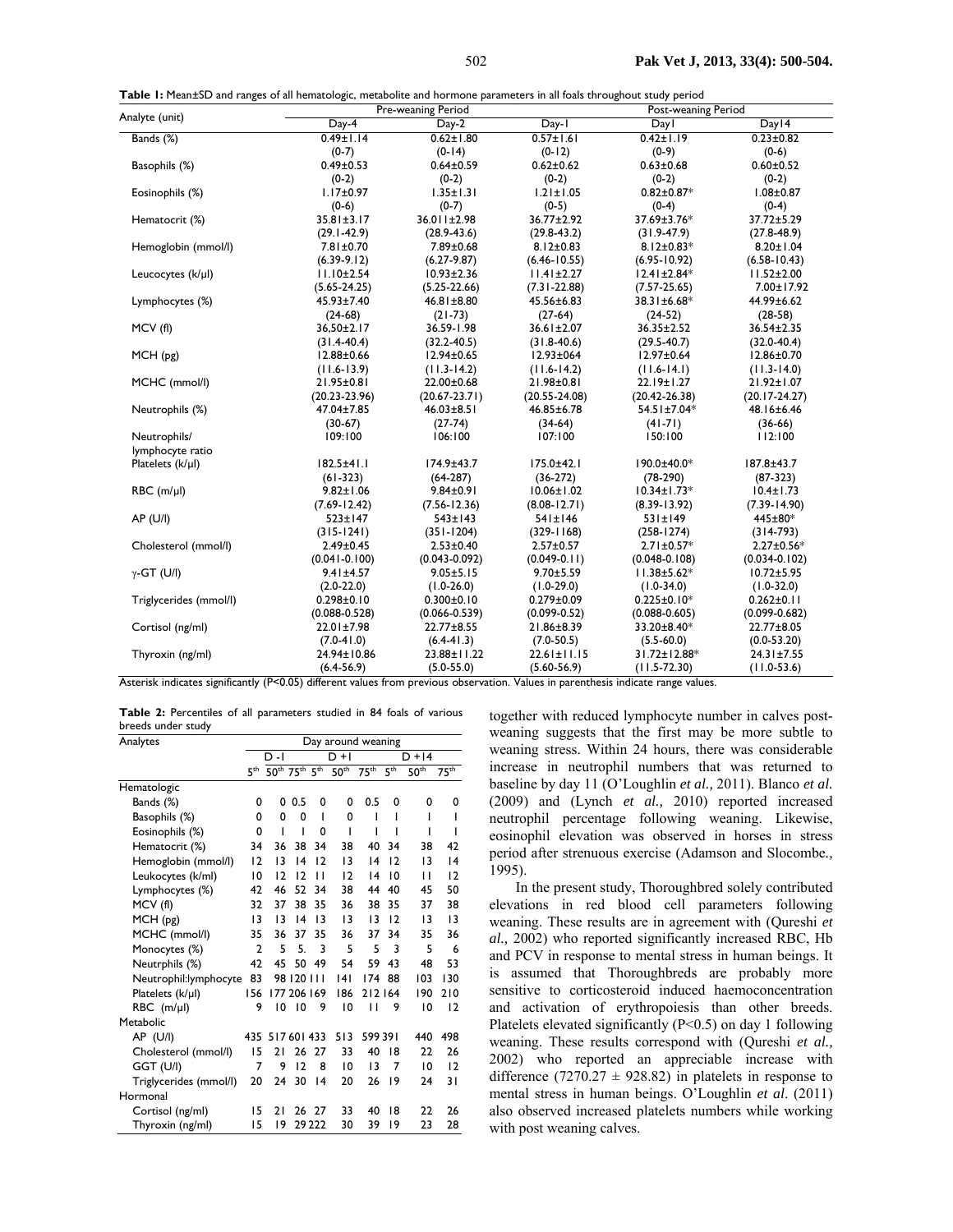| Table I: Mean±SD and ranges of all hematologic, metabolite and hormone parameters in all foals throughout study period |  |  |  |  |  |  |  |  |
|------------------------------------------------------------------------------------------------------------------------|--|--|--|--|--|--|--|--|
|------------------------------------------------------------------------------------------------------------------------|--|--|--|--|--|--|--|--|

| Table 1: Mean±SD and ranges of all hematologic, metabolite and hormone parameters in all foals throughout study period |                     | Pre-weaning Period |                   | Post-weaning Period |                   |
|------------------------------------------------------------------------------------------------------------------------|---------------------|--------------------|-------------------|---------------------|-------------------|
| Analyte (unit)                                                                                                         | Day- $\overline{4}$ | Day-2              | Day-1             | Dayl                | Day 14            |
| Bands (%)                                                                                                              | $0.49 \pm 1.14$     | $0.62 \pm 1.80$    | $0.57 \pm 1.61$   | $0.42 \pm 1.19$     | $0.23 \pm 0.82$   |
|                                                                                                                        | $(0-7)$             | $(0-14)$           | $(0-12)$          | $(0-9)$             | $(0-6)$           |
| Basophils (%)                                                                                                          | $0.49 \pm 0.53$     | $0.64 \pm 0.59$    | $0.62 \pm 0.62$   | $0.63 \pm 0.68$     | $0.60 \pm 0.52$   |
|                                                                                                                        | $(0-2)$             | $(0-2)$            | $(0-2)$           | $(0-2)$             | $(0-2)$           |
| Eosinophils (%)                                                                                                        | $1.17 \pm 0.97$     | $1.35 \pm 1.31$    | $1.21 \pm 1.05$   | $0.82 \pm 0.87*$    | $1.08 \pm 0.87$   |
|                                                                                                                        | $(0-6)$             | $(0-7)$            | $(0-5)$           | $(0-4)$             | $(0-4)$           |
| Hematocrit (%)                                                                                                         | $35.81 \pm 3.17$    | 36.011±2.98        | 36.77±2.92        | 37.69±3.76*         | 37.72±5.29        |
|                                                                                                                        | $(29.1 - 42.9)$     | $(28.9 - 43.6)$    | $(29.8 - 43.2)$   | $(31.9-47.9)$       | $(27.8 - 48.9)$   |
| Hemoglobin (mmol/l)                                                                                                    | $7.81 \pm 0.70$     | 7.89±0.68          | $8.12 \pm 0.83$   | $8.12 \pm 0.83*$    | $8.20 \pm 1.04$   |
|                                                                                                                        | $(6.39-9.12)$       | $(6.27-9.87)$      | $(6.46 - 10.55)$  | $(6.95 - 10.92)$    | $(6.58 - 10.43)$  |
| Leucocytes (k/µl)                                                                                                      | $11.10 \pm 2.54$    | $10.93 \pm 2.36$   | $11.41 \pm 2.27$  | $12.41 \pm 2.84*$   | $11.52 \pm 2.00$  |
|                                                                                                                        | $(5.65 - 24.25)$    | $(5.25 - 22.66)$   | $(7.31 - 22.88)$  | $(7.57 - 25.65)$    | 7.00±17.92        |
| Lymphocytes (%)                                                                                                        | 45.93±7.40          | 46.81±8.80         | 45.56±6.83        | 38.31±6.68*         | 44.99±6.62        |
|                                                                                                                        | $(24-68)$           | $(21-73)$          | $(27-64)$         | $(24-52)$           | $(28-58)$         |
| MCV(f)                                                                                                                 | 36,50±2.17          | 36.59-1.98         | 36.61±2.07        | 36.35±2.52          | 36.54±2.35        |
|                                                                                                                        | $(31.4 - 40.4)$     | $(32.2 - 40.5)$    | $(31.8-40.6)$     | $(29.5 - 40.7)$     | $(32.0 - 40.4)$   |
| MCH(pg)                                                                                                                | $12.88 \pm 0.66$    | 12.94±0.65         | 12.93±064         | 12.97±0.64          | 12.86±0.70        |
|                                                                                                                        | $(11.6-13.9)$       | $(11.3-14.2)$      | $(11.6-14.2)$     | $(11.6-14.1)$       | $(11.3 - 14.0)$   |
| MCHC (mmol/l)                                                                                                          | 21.95±0.81          | 22.00±0.68         | 21.98±0.81        | 22.19±1.27          | 21.92±1.07        |
|                                                                                                                        | $(20.23 - 23.96)$   | $(20.67 - 23.71)$  | $(20.55 - 24.08)$ | $(20.42 - 26.38)$   | $(20.17-24.27)$   |
| Neutrophils (%)                                                                                                        | 47.04±7.85          | $46.03 \pm 8.51$   | 46.85±6.78        | 54.51±7.04*         | 48.16±6.46        |
|                                                                                                                        | $(30-67)$           | $(27-74)$          | $(34-64)$         | $(41 - 71)$         | $(36-66)$         |
| Neutrophils/                                                                                                           | 109:100             | 106:100            | 107:100           | 150:100             | 112:100           |
| lymphocyte ratio                                                                                                       |                     |                    |                   |                     |                   |
| Platelets (k/µl)                                                                                                       | $182.5 + 41.1$      | 174.9±43.7         | 175.0±42.1        | 190.0±40.0*         | 187.8±43.7        |
|                                                                                                                        | $(61-323)$          | $(64-287)$         | $(36-272)$        | $(78-290)$          | $(87-323)$        |
| $RBC$ (m/ $\mu$ l)                                                                                                     | $9.82 \pm 1.06$     | $9.84 \pm 0.91$    | $10.06 \pm 1.02$  | $10.34 \pm 1.73*$   | $10.4 \pm 1.73$   |
|                                                                                                                        | $(7.69 - 12.42)$    | $(7.56 - 12.36)$   | $(8.08 - 12.71)$  | $(8.39 - 13.92)$    | $(7.39 - 14.90)$  |
| AP (U/I)                                                                                                               | $523 \pm 147$       | $543 \pm 143$      | $541 \pm 146$     | 531±149             | 445±80*           |
|                                                                                                                        | $(315-1241)$        | $(351-1204)$       | $(329 - 1168)$    | $(258 - 1274)$      | $(314-793)$       |
| Cholesterol (mmol/l)                                                                                                   | $2.49 \pm 0.45$     | $2.53 \pm 0.40$    | $2.57 \pm 0.57$   | $2.71 \pm 0.57*$    | $2.27 \pm 0.56*$  |
|                                                                                                                        | $(0.041 - 0.100)$   | $(0.043 - 0.092)$  | $(0.049-0.11)$    | $(0.048 - 0.108)$   | $(0.034 - 0.102)$ |
| $\gamma$ -GT (U/I)                                                                                                     | $9.41 \pm 4.57$     | $9.05 \pm 5.15$    | $9.70 \pm 5.59$   | $11.38 \pm 5.62*$   | $10.72 + 5.95$    |
|                                                                                                                        | $(2.0-22.0)$        | $(1.0-26.0)$       | $(1.0-29.0)$      | $(1.0-34.0)$        | $(1.0-32.0)$      |
| Triglycerides (mmol/l)                                                                                                 | $0.298 \pm 0.10$    | $0.300 + 0.10$     | $0.279 \pm 0.09$  | $0.225 \pm 0.10*$   | $0.262 \pm 0.11$  |
|                                                                                                                        | $(0.088 - 0.528)$   | $(0.066 - 0.539)$  | $(0.099 - 0.52)$  | $(0.088 - 0.605)$   | $(0.099 - 0.682)$ |
| Cortisol (ng/ml)                                                                                                       | 22.01±7.98          | 22.77±8.55         | 21.86±8.39        | 33.20±8.40*         | 22.77±8.05        |
|                                                                                                                        | $(7.0 - 41.0)$      | $(6.4-41.3)$       | $(7.0 - 50.5)$    | $(5.5 - 60.0)$      | $(0.0 - 53.20)$   |
| Thyroxin (ng/ml)                                                                                                       | 24.94±10.86         | 23.88±11.22        | $22.61 \pm 11.15$ | 31.72±12.88*        | $24.31 \pm 7.55$  |
|                                                                                                                        | $(6.4-56.9)$        | $(5.0 - 55.0)$     | $(5.60 - 56.9)$   | $(11.5 - 72.30)$    | $(11.0-53.6)$     |

Asterisk indicates significantly (P<0.05) different values from previous observation. Values in parenthesis indicate range values.

**Table 2:** Percentiles of all parameters studied in 84 foals of various breeds under study

| Analytes               |                | Day around weaning                                                |             |                 |                  |                  |                 |                  |                  |
|------------------------|----------------|-------------------------------------------------------------------|-------------|-----------------|------------------|------------------|-----------------|------------------|------------------|
|                        |                | $D - I$                                                           |             |                 | $D + I$          |                  |                 | $D + 14$         |                  |
|                        |                | 5 <sup>th</sup> 50 <sup>th</sup> 75 <sup>th</sup> 5 <sup>th</sup> |             |                 | 50 <sup>th</sup> | 75 <sup>th</sup> | 5 <sup>th</sup> | 50 <sup>th</sup> | 75 <sup>th</sup> |
| Hematologic            |                |                                                                   |             |                 |                  |                  |                 |                  |                  |
| Bands (%)              | 0              | 0                                                                 | 0.5         | 0               | 0                | 0.5              | 0               | 0                | 0                |
| Basophils (%)          | 0              | 0                                                                 | 0           | ı               | 0                | ı                | ı               | ı                | ı                |
| Eosinophils (%)        | 0              | ı                                                                 | ı           | 0               | ı                | ı                | ı               | ı                | ı                |
| Hematocrit (%)         | 34             | 36                                                                | 38          | 34              | 38               | 40               | 34              | 38               | 42               |
| Hemoglobin (mmol/l)    | 12             | 13                                                                | 4           | 12              | $\overline{13}$  | 14               | 12              | 13               | 4                |
| Leukocytes (k/ml)      | $\overline{0}$ | $\overline{2}$                                                    | 12          | п               | 12               | 4                | 10              | П                | 12               |
| Lymphocytes (%)        | 42             | 46                                                                | 52          | 34              | 38               | 44               | 40              | 45               | 50               |
| MCV (fl)               | 32             | 37                                                                | 38          | 35              | 36               | 38               | 35              | 37               | 38               |
| MCH (pg)               | $\overline{1}$ | 13                                                                | 14          | $\overline{13}$ | $\overline{13}$  | 13               | 12              | 13               | $\overline{13}$  |
| MCHC (mmol/l)          | 35             | 36                                                                | 37          | 35              | 36               | 37               | 34              | 35               | 36               |
| Monocytes (%)          | $\overline{2}$ | 5                                                                 | 5.          | 3               | 5                | 5                | 3               | 5                | 6                |
| Neutrphils (%)         | 42             | 45                                                                | 50          | 49              | 54               | 59               | 43              | 48               | 53               |
| Neutrophil:lymphocyte  | 83             |                                                                   | 98 120 111  |                 | 4                | 174              | 88              | 103              | 130              |
| Platelets (k/µl)       | 156            |                                                                   | 177 206 169 |                 | 186              | 212164           |                 | 190              | 210              |
| $RBC$ (m/ $\mu$ I)     | 9              | 10                                                                | 10          | 9               | 10               | п                | 9               | 10               | $\overline{2}$   |
| Metabolic              |                |                                                                   |             |                 |                  |                  |                 |                  |                  |
| AP (U/I)               | 435            |                                                                   | 517 601 433 |                 | 513              | 599391           |                 | 440              | 498              |
| Cholesterol (mmol/l)   | 15             | 21                                                                | 26          | 27              | 33               | 40               | 18              | 22               | 26               |
| GGT (U/I)              | 7              | 9                                                                 | 12          | 8               | $\overline{0}$   | 13               | 7               | 10               | $\overline{2}$   |
| Triglycerides (mmol/l) | 20             | 24                                                                | 30          | 4               | 20               | 26               | 19              | 24               | 31               |
| Hormonal               |                |                                                                   |             |                 |                  |                  |                 |                  |                  |
| Cortisol (ng/ml)       | 15             | 21                                                                |             | 26 27           | 33               | 40               | 18              | 22               | 26               |
| Thyroxin (ng/ml)       | 15             | 19                                                                |             | 29 222          | 30               | 39               | 19              | 23               | 28               |

together with reduced lymphocyte number in calves postweaning suggests that the first may be more subtle to weaning stress. Within 24 hours, there was considerable increase in neutrophil numbers that was returned to baseline by day 11 (O'Loughlin *et al.,* 2011). Blanco *et al.* (2009) and (Lynch *et al.,* 2010) reported increased neutrophil percentage following weaning. Likewise, eosinophil elevation was observed in horses in stress period after strenuous exercise (Adamson and Slocombe*.,* 1995).

In the present study, Thoroughbred solely contributed elevations in red blood cell parameters following weaning. These results are in agreement with (Qureshi *et al.,* 2002) who reported significantly increased RBC, Hb and PCV in response to mental stress in human beings. It is assumed that Thoroughbreds are probably more sensitive to corticosteroid induced haemoconcentration and activation of erythropoiesis than other breeds. Platelets elevated significantly (P<0.5) on day 1 following weaning. These results correspond with (Qureshi *et al.,* 2002) who reported an appreciable increase with difference (7270.27  $\pm$  928.82) in platelets in response to mental stress in human beings. O'Loughlin *et al*. (2011) also observed increased platelets numbers while working with post weaning calves.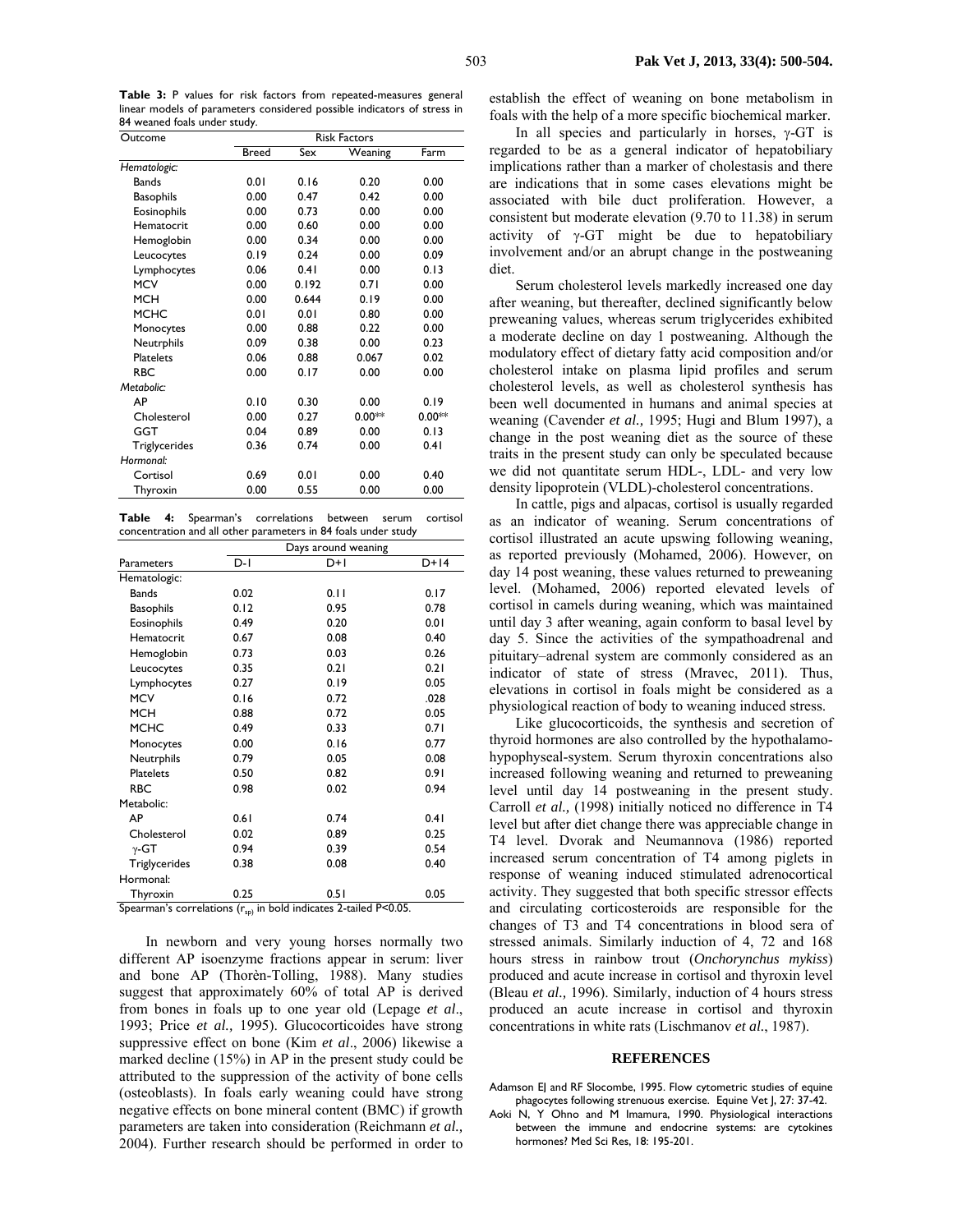**Table 3:** P values for risk factors from repeated-measures general linear models of parameters considered possible indicators of stress in 84 weaned foals under study.

| Outcome          |              | <b>Risk Factors</b> |          |          |  |  |  |  |
|------------------|--------------|---------------------|----------|----------|--|--|--|--|
|                  | <b>Breed</b> | $\overline{S}$ ex   | Weaning  | Farm     |  |  |  |  |
| Hematologic:     |              |                     |          |          |  |  |  |  |
| <b>Bands</b>     | 0.01         | 0.16                | 0.20     | 0.00     |  |  |  |  |
| <b>Basophils</b> | 0.00         | 0.47                | 0.42     | 0.00     |  |  |  |  |
| Eosinophils      | 0.00         | 0.73                | 0.00     | 0.00     |  |  |  |  |
| Hematocrit       | 0.00         | 0.60                | 0.00     | 0.00     |  |  |  |  |
| Hemoglobin       | 0.00         | 0.34                | 0.00     | 0.00     |  |  |  |  |
| Leucocytes       | 0.19         | 0.24                | 0.00     | 0.09     |  |  |  |  |
| Lymphocytes      | 0.06         | 0.41                | 0.00     | 0.13     |  |  |  |  |
| <b>MCV</b>       | 0.00         | 0.192               | 0.71     | 0.00     |  |  |  |  |
| <b>MCH</b>       | 0.00         | 0.644               | 0.19     | 0.00     |  |  |  |  |
| <b>MCHC</b>      | 0.01         | 0.01                | 0.80     | 0.00     |  |  |  |  |
| Monocytes        | 0.00         | 0.88                | 0.22     | 0.00     |  |  |  |  |
| Neutrphils       | 0.09         | 0.38                | 0.00     | 0.23     |  |  |  |  |
| <b>Platelets</b> | 0.06         | 0.88                | 0.067    | 0.02     |  |  |  |  |
| <b>RBC</b>       | 0.00         | 0.17                | 0.00     | 0.00     |  |  |  |  |
| Metabolic:       |              |                     |          |          |  |  |  |  |
| AP               | 0.10         | 0.30                | 0.00     | 0.19     |  |  |  |  |
| Cholesterol      | 0.00         | 0.27                | $0.00**$ | $0.00**$ |  |  |  |  |
| GGT              | 0.04         | 0.89                | 0.00     | 0.13     |  |  |  |  |
| Triglycerides    | 0.36         | 0.74                | 0.00     | 0.41     |  |  |  |  |
| Hormonal:        |              |                     |          |          |  |  |  |  |
| Cortisol         | 0.69         | 0.01                | 0.00     | 0.40     |  |  |  |  |
| Thyroxin         | 0.00         | 0.55                | 0.00     | 0.00     |  |  |  |  |
|                  |              |                     |          |          |  |  |  |  |

**Table 4:** Spearman's correlations between serum cortisol concentration and all other parameters in 84 foals under study

|                                                                       | Days around weaning |       |        |  |  |  |
|-----------------------------------------------------------------------|---------------------|-------|--------|--|--|--|
| Parameters                                                            | $D-I$               | $D+1$ | $D+14$ |  |  |  |
| Hematologic:                                                          |                     |       |        |  |  |  |
| <b>Bands</b>                                                          | 0.02                | 0.11  | 0.17   |  |  |  |
| <b>Basophils</b>                                                      | 0.12                | 0.95  | 0.78   |  |  |  |
| Eosinophils                                                           | 0.49                | 0.20  | 0.01   |  |  |  |
| Hematocrit                                                            | 0.67                | 0.08  | 0.40   |  |  |  |
| Hemoglobin                                                            | 0.73                | 0.03  | 0.26   |  |  |  |
| Leucocytes                                                            | 0.35                | 0.21  | 0.21   |  |  |  |
| Lymphocytes                                                           | 0.27                | 0.19  | 0.05   |  |  |  |
| <b>MCV</b>                                                            | 0.16                | 0.72  | .028   |  |  |  |
| <b>MCH</b>                                                            | 0.88                | 0.72  | 0.05   |  |  |  |
| <b>MCHC</b>                                                           | 0.49                | 0.33  | 0.71   |  |  |  |
| Monocytes                                                             | 0.00                | 0.16  | 0.77   |  |  |  |
| Neutrphils                                                            | 0.79                | 0.05  | 0.08   |  |  |  |
| <b>Platelets</b>                                                      | 0.50                | 0.82  | 0.91   |  |  |  |
| <b>RBC</b>                                                            | 0.98                | 0.02  | 0.94   |  |  |  |
| Metabolic:                                                            |                     |       |        |  |  |  |
| AP                                                                    | 0.61                | 0.74  | 0.41   |  |  |  |
| Cholesterol                                                           | 0.02                | 0.89  | 0.25   |  |  |  |
| $\gamma$ -GT                                                          | 0.94                | 0.39  | 0.54   |  |  |  |
| Triglycerides                                                         | 0.38                | 0.08  | 0.40   |  |  |  |
| Hormonal:                                                             |                     |       |        |  |  |  |
| Thyroxin                                                              | 0.25                | 0.51  | 0.05   |  |  |  |
| Spearman's correlations $(r_{sp})$ in bold indicates 2-tailed P<0.05. |                     |       |        |  |  |  |

In newborn and very young horses normally two different AP isoenzyme fractions appear in serum: liver and bone AP (Thorèn-Tolling, 1988). Many studies suggest that approximately 60% of total AP is derived from bones in foals up to one year old (Lepage *et al*., 1993; Price *et al.,* 1995). Glucocorticoides have strong suppressive effect on bone (Kim *et al*., 2006) likewise a marked decline (15%) in AP in the present study could be attributed to the suppression of the activity of bone cells (osteoblasts). In foals early weaning could have strong negative effects on bone mineral content (BMC) if growth parameters are taken into consideration (Reichmann *et al.,* 2004). Further research should be performed in order to establish the effect of weaning on bone metabolism in foals with the help of a more specific biochemical marker.

In all species and particularly in horses,  $\gamma$ -GT is regarded to be as a general indicator of hepatobiliary implications rather than a marker of cholestasis and there are indications that in some cases elevations might be associated with bile duct proliferation. However, a consistent but moderate elevation (9.70 to 11.38) in serum activity of  $\gamma$ -GT might be due to hepatobiliary involvement and/or an abrupt change in the postweaning diet.

Serum cholesterol levels markedly increased one day after weaning, but thereafter, declined significantly below preweaning values, whereas serum triglycerides exhibited a moderate decline on day 1 postweaning. Although the modulatory effect of dietary fatty acid composition and/or cholesterol intake on plasma lipid profiles and serum cholesterol levels, as well as cholesterol synthesis has been well documented in humans and animal species at weaning (Cavender *et al.,* 1995; Hugi and Blum 1997), a change in the post weaning diet as the source of these traits in the present study can only be speculated because we did not quantitate serum HDL-, LDL- and very low density lipoprotein (VLDL)-cholesterol concentrations.

In cattle, pigs and alpacas, cortisol is usually regarded as an indicator of weaning. Serum concentrations of cortisol illustrated an acute upswing following weaning, as reported previously (Mohamed, 2006). However, on day 14 post weaning, these values returned to preweaning level. (Mohamed, 2006) reported elevated levels of cortisol in camels during weaning, which was maintained until day 3 after weaning, again conform to basal level by day 5. Since the activities of the sympathoadrenal and pituitary–adrenal system are commonly considered as an indicator of state of stress (Mravec, 2011). Thus, elevations in cortisol in foals might be considered as a physiological reaction of body to weaning induced stress.

Like glucocorticoids, the synthesis and secretion of thyroid hormones are also controlled by the hypothalamohypophyseal-system. Serum thyroxin concentrations also increased following weaning and returned to preweaning level until day 14 postweaning in the present study. Carroll *et al.,* (1998) initially noticed no difference in T4 level but after diet change there was appreciable change in T4 level. Dvorak and Neumannova (1986) reported increased serum concentration of T4 among piglets in response of weaning induced stimulated adrenocortical activity. They suggested that both specific stressor effects and circulating corticosteroids are responsible for the changes of T3 and T4 concentrations in blood sera of stressed animals. Similarly induction of 4, 72 and 168 hours stress in rainbow trout (*Onchorynchus mykiss*) produced and acute increase in cortisol and thyroxin level (Bleau *et al.,* 1996). Similarly, induction of 4 hours stress produced an acute increase in cortisol and thyroxin concentrations in white rats (Lischmanov *et al.*, 1987).

#### **REFERENCES**

Adamson EJ and RF Slocombe, 1995. Flow cytometric studies of equine phagocytes following strenuous exercise. Equine Vet J, 27: 37-42.

Aoki N, Y Ohno and M Imamura, 1990. Physiological interactions between the immune and endocrine systems: are cytokines hormones? Med Sci Res, 18: 195-201.